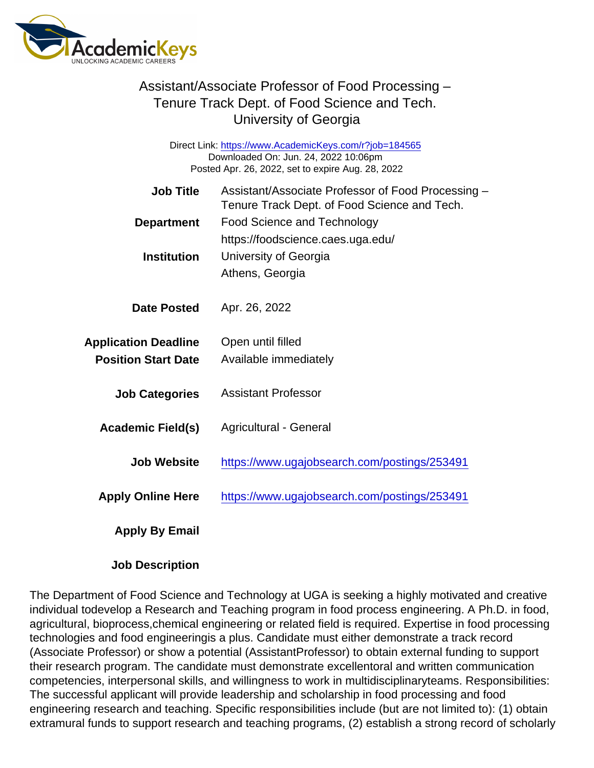## Assistant/Associate Professor of Food Processing – Tenure Track Dept. of Food Science and Tech. University of Georgia

Direct Link: <https://www.AcademicKeys.com/r?job=184565> Downloaded On: Jun. 24, 2022 10:06pm Posted Apr. 26, 2022, set to expire Aug. 28, 2022

| Job Title<br>Department                                   | Assistant/Associate Professor of Food Processing -<br>Tenure Track Dept. of Food Science and Tech.<br><b>Food Science and Technology</b><br>https://foodscience.caes.uga.edu/ |
|-----------------------------------------------------------|-------------------------------------------------------------------------------------------------------------------------------------------------------------------------------|
| Institution                                               | University of Georgia<br>Athens, Georgia                                                                                                                                      |
| Date Posted                                               | Apr. 26, 2022                                                                                                                                                                 |
| <b>Application Deadline</b><br><b>Position Start Date</b> | Open until filled<br>Available immediately                                                                                                                                    |
| <b>Job Categories</b>                                     | Assistant Professor                                                                                                                                                           |
| Academic Field(s)                                         | <b>Agricultural - General</b>                                                                                                                                                 |
| Job Website                                               | https://www.ugajobsearch.com/postings/253491                                                                                                                                  |
| <b>Apply Online Here</b>                                  | https://www.ugajobsearch.com/postings/253491                                                                                                                                  |
| Apply By Email                                            |                                                                                                                                                                               |

Job Description

The Department of Food Science and Technology at UGA is seeking a highly motivated and creative individual todevelop a Research and Teaching program in food process engineering. A Ph.D. in food, agricultural, bioprocess,chemical engineering or related field is required. Expertise in food processing technologies and food engineeringis a plus. Candidate must either demonstrate a track record (Associate Professor) or show a potential (AssistantProfessor) to obtain external funding to support their research program. The candidate must demonstrate excellentoral and written communication competencies, interpersonal skills, and willingness to work in multidisciplinaryteams. Responsibilities: The successful applicant will provide leadership and scholarship in food processing and food engineering research and teaching. Specific responsibilities include (but are not limited to): (1) obtain extramural funds to support research and teaching programs, (2) establish a strong record of scholarly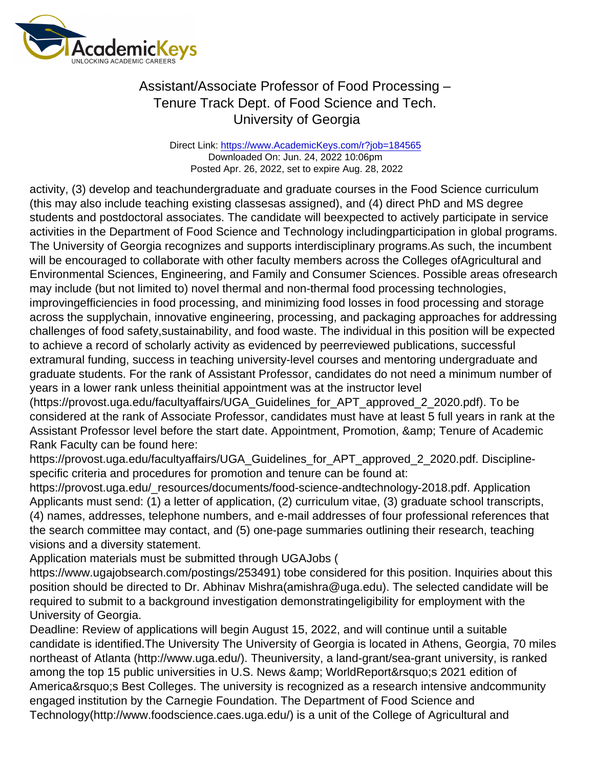## Assistant/Associate Professor of Food Processing – Tenure Track Dept. of Food Science and Tech. University of Georgia

Direct Link: <https://www.AcademicKeys.com/r?job=184565> Downloaded On: Jun. 24, 2022 10:06pm Posted Apr. 26, 2022, set to expire Aug. 28, 2022

activity, (3) develop and teachundergraduate and graduate courses in the Food Science curriculum (this may also include teaching existing classesas assigned), and (4) direct PhD and MS degree students and postdoctoral associates. The candidate will beexpected to actively participate in service activities in the Department of Food Science and Technology includingparticipation in global programs. The University of Georgia recognizes and supports interdisciplinary programs.As such, the incumbent will be encouraged to collaborate with other faculty members across the Colleges ofAgricultural and Environmental Sciences, Engineering, and Family and Consumer Sciences. Possible areas ofresearch may include (but not limited to) novel thermal and non-thermal food processing technologies, improvingefficiencies in food processing, and minimizing food losses in food processing and storage across the supplychain, innovative engineering, processing, and packaging approaches for addressing challenges of food safety,sustainability, and food waste. The individual in this position will be expected to achieve a record of scholarly activity as evidenced by peerreviewed publications, successful extramural funding, success in teaching university-level courses and mentoring undergraduate and graduate students. For the rank of Assistant Professor, candidates do not need a minimum number of years in a lower rank unless theinitial appointment was at the instructor level

(https://provost.uga.edu/facultyaffairs/UGA\_Guidelines\_for\_APT\_approved\_2\_2020.pdf). To be considered at the rank of Associate Professor, candidates must have at least 5 full years in rank at the Assistant Professor level before the start date. Appointment, Promotion, & amp; Tenure of Academic Rank Faculty can be found here:

https://provost.uga.edu/facultyaffairs/UGA\_Guidelines\_for\_APT\_approved\_2\_2020.pdf. Disciplinespecific criteria and procedures for promotion and tenure can be found at:

https://provost.uga.edu/\_resources/documents/food-science-andtechnology-2018.pdf. Application Applicants must send: (1) a letter of application, (2) curriculum vitae, (3) graduate school transcripts, (4) names, addresses, telephone numbers, and e-mail addresses of four professional references that the search committee may contact, and (5) one-page summaries outlining their research, teaching visions and a diversity statement.

Application materials must be submitted through UGAJobs (

https://www.ugajobsearch.com/postings/253491) tobe considered for this position. Inquiries about this position should be directed to Dr. Abhinav Mishra(amishra@uga.edu). The selected candidate will be required to submit to a background investigation demonstratingeligibility for employment with the University of Georgia.

Deadline: Review of applications will begin August 15, 2022, and will continue until a suitable candidate is identified.The University The University of Georgia is located in Athens, Georgia, 70 miles northeast of Atlanta (http://www.uga.edu/). Theuniversity, a land-grant/sea-grant university, is ranked among the top 15 public universities in U.S. News & amp; WorldReport' s 2021 edition of America' S Best Colleges. The university is recognized as a research intensive andcommunity engaged institution by the Carnegie Foundation. The Department of Food Science and Technology(http://www.foodscience.caes.uga.edu/) is a unit of the College of Agricultural and